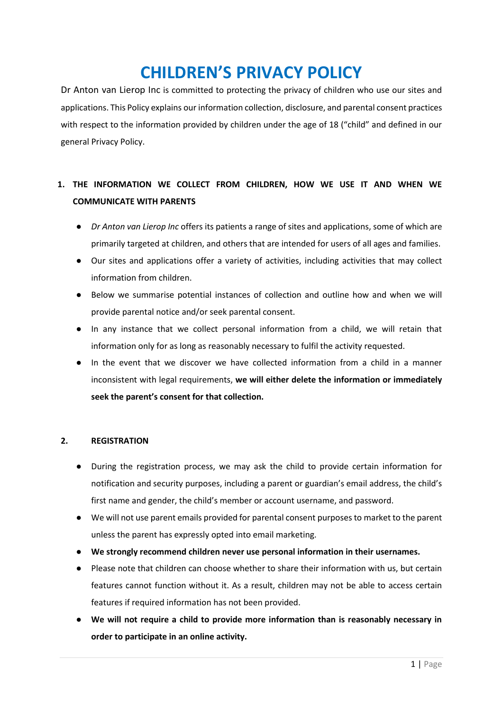# **CHILDREN'S PRIVACY POLICY**

Dr Anton van Lierop Inc is committed to protecting the privacy of children who use our sites and applications. This Policy explains our information collection, disclosure, and parental consent practices with respect to the information provided by children under the age of 18 ("child" and defined in our general Privacy Policy.

# **1. THE INFORMATION WE COLLECT FROM CHILDREN, HOW WE USE IT AND WHEN WE COMMUNICATE WITH PARENTS**

- *Dr Anton van Lierop Inc* offers its patients a range of sites and applications, some of which are primarily targeted at children, and others that are intended for users of all ages and families.
- Our sites and applications offer a variety of activities, including activities that may collect information from children.
- Below we summarise potential instances of collection and outline how and when we will provide parental notice and/or seek parental consent.
- In any instance that we collect personal information from a child, we will retain that information only for as long as reasonably necessary to fulfil the activity requested.
- In the event that we discover we have collected information from a child in a manner inconsistent with legal requirements, **we will either delete the information or immediately seek the parent's consent for that collection.**

# **2. REGISTRATION**

- During the registration process, we may ask the child to provide certain information for notification and security purposes, including a parent or guardian's email address, the child's first name and gender, the child's member or account username, and password.
- We will not use parent emails provided for parental consent purposes to market to the parent unless the parent has expressly opted into email marketing.
- **We strongly recommend children never use personal information in their usernames.**
- Please note that children can choose whether to share their information with us, but certain features cannot function without it. As a result, children may not be able to access certain features if required information has not been provided.
- **We will not require a child to provide more information than is reasonably necessary in order to participate in an online activity.**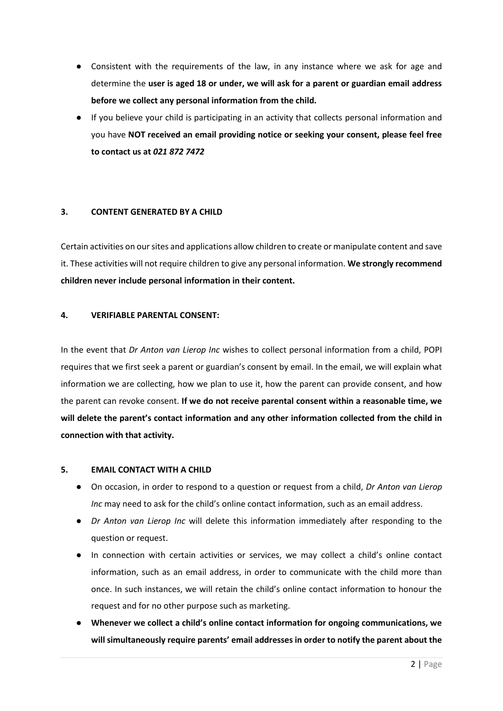- Consistent with the requirements of the law, in any instance where we ask for age and determine the **user is aged 18 or under, we will ask for a parent or guardian email address before we collect any personal information from the child.**
- If you believe your child is participating in an activity that collects personal information and you have **NOT received an email providing notice or seeking your consent, please feel free to contact us at** *021 872 7472*

# **3. CONTENT GENERATED BY A CHILD**

Certain activities on our sites and applications allow children to create or manipulate content and save it. These activities will not require children to give any personal information. **We strongly recommend children never include personal information in their content.**

# **4. VERIFIABLE PARENTAL CONSENT:**

In the event that *Dr Anton van Lierop Inc* wishes to collect personal information from a child, POPI requires that we first seek a parent or guardian's consent by email. In the email, we will explain what information we are collecting, how we plan to use it, how the parent can provide consent, and how the parent can revoke consent. **If we do not receive parental consent within a reasonable time, we will delete the parent's contact information and any other information collected from the child in connection with that activity.**

#### **5. EMAIL CONTACT WITH A CHILD**

- On occasion, in order to respond to a question or request from a child, *Dr Anton van Lierop Inc* may need to ask for the child's online contact information, such as an email address.
- *Dr Anton van Lierop Inc* will delete this information immediately after responding to the question or request.
- In connection with certain activities or services, we may collect a child's online contact information, such as an email address, in order to communicate with the child more than once. In such instances, we will retain the child's online contact information to honour the request and for no other purpose such as marketing.
- **Whenever we collect a child's online contact information for ongoing communications, we will simultaneously require parents' email addresses in order to notify the parent about the**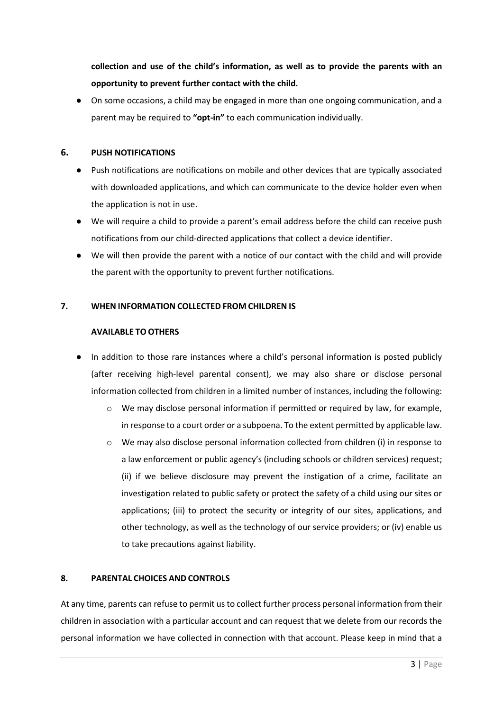**collection and use of the child's information, as well as to provide the parents with an opportunity to prevent further contact with the child.**

● On some occasions, a child may be engaged in more than one ongoing communication, and a parent may be required to **"opt-in"** to each communication individually.

# **6. PUSH NOTIFICATIONS**

- Push notifications are notifications on mobile and other devices that are typically associated with downloaded applications, and which can communicate to the device holder even when the application is not in use.
- We will require a child to provide a parent's email address before the child can receive push notifications from our child-directed applications that collect a device identifier.
- We will then provide the parent with a notice of our contact with the child and will provide the parent with the opportunity to prevent further notifications.

# **7. WHEN INFORMATION COLLECTED FROM CHILDREN IS**

# **AVAILABLE TO OTHERS**

- In addition to those rare instances where a child's personal information is posted publicly (after receiving high-level parental consent), we may also share or disclose personal information collected from children in a limited number of instances, including the following:
	- o We may disclose personal information if permitted or required by law, for example, in response to a court order or a subpoena. To the extent permitted by applicable law.
	- $\circ$  We may also disclose personal information collected from children (i) in response to a law enforcement or public agency's (including schools or children services) request; (ii) if we believe disclosure may prevent the instigation of a crime, facilitate an investigation related to public safety or protect the safety of a child using our sites or applications; (iii) to protect the security or integrity of our sites, applications, and other technology, as well as the technology of our service providers; or (iv) enable us to take precautions against liability.

# **8. PARENTAL CHOICES AND CONTROLS**

At any time, parents can refuse to permit us to collect further process personal information from their children in association with a particular account and can request that we delete from our records the personal information we have collected in connection with that account. Please keep in mind that a